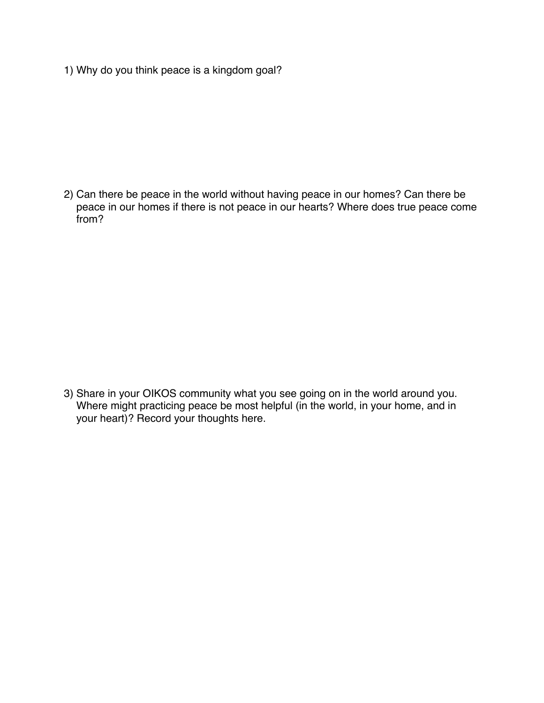1) Why do you think peace is a kingdom goal?

2) Can there be peace in the world without having peace in our homes? Can there be peace in our homes if there is not peace in our hearts? Where does true peace come from?

3) Share in your OIKOS community what you see going on in the world around you. Where might practicing peace be most helpful (in the world, in your home, and in your heart)? Record your thoughts here.